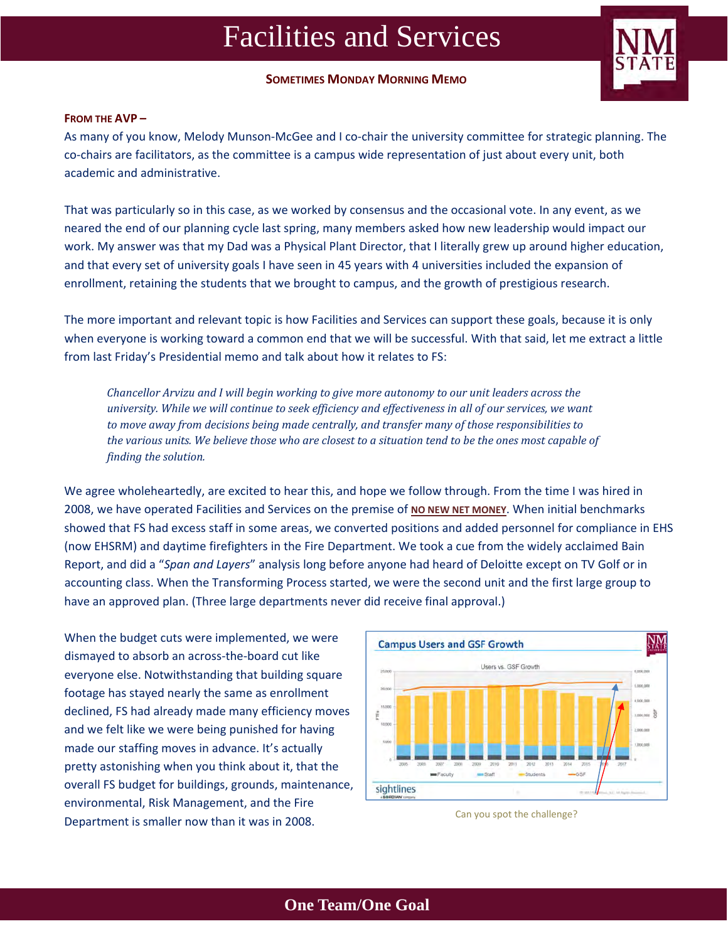**SOMETIMES MONDAY MORNING MEMO**



### **FROM THE AVP –**

As many of you know, Melody Munson-McGee and I co-chair the university committee for strategic planning. The co-chairs are facilitators, as the committee is a campus wide representation of just about every unit, both academic and administrative.

That was particularly so in this case, as we worked by consensus and the occasional vote. In any event, as we neared the end of our planning cycle last spring, many members asked how new leadership would impact our work. My answer was that my Dad was a Physical Plant Director, that I literally grew up around higher education, and that every set of university goals I have seen in 45 years with 4 universities included the expansion of enrollment, retaining the students that we brought to campus, and the growth of prestigious research.

The more important and relevant topic is how Facilities and Services can support these goals, because it is only when everyone is working toward a common end that we will be successful. With that said, let me extract a little from last Friday's Presidential memo and talk about how it relates to FS:

*Chancellor Arvizu and I will begin working to give more autonomy to our unit leaders across the university. While we will continue to seek efficiency and effectiveness in all of our services, we want to move away from decisions being made centrally, and transfer many of those responsibilities to* the various units. We believe those who are closest to a situation tend to be the ones most capable of *finding the solution.*

We agree wholeheartedly, are excited to hear this, and hope we follow through. From the time I was hired in 2008, we have operated Facilities and Services on the premise of **NO NEW NET MONEY**. When initial benchmarks showed that FS had excess staff in some areas, we converted positions and added personnel for compliance in EHS (now EHSRM) and daytime firefighters in the Fire Department. We took a cue from the widely acclaimed Bain Report, and did a "*Span and Layers*" analysis long before anyone had heard of Deloitte except on TV Golf or in accounting class. When the Transforming Process started, we were the second unit and the first large group to have an approved plan. (Three large departments never did receive final approval.)

When the budget cuts were implemented, we were dismayed to absorb an across‐the‐board cut like everyone else. Notwithstanding that building square footage has stayed nearly the same as enrollment declined, FS had already made many efficiency moves and we felt like we were being punished for having made our staffing moves in advance. It's actually pretty astonishing when you think about it, that the overall FS budget for buildings, grounds, maintenance, environmental, Risk Management, and the Fire Department is smaller now than it was in 2008.



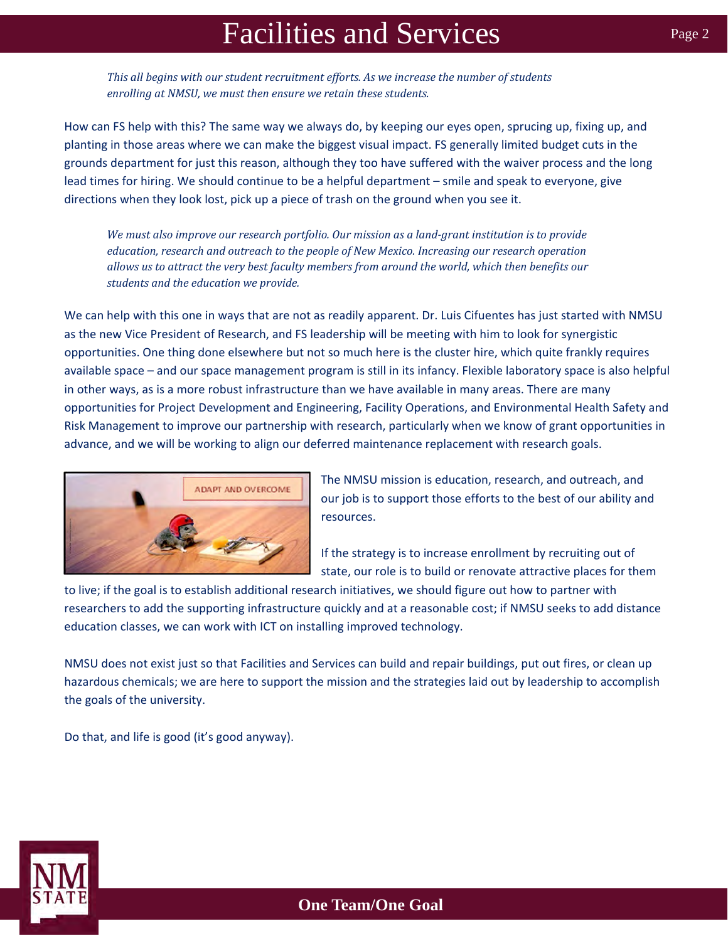*This all begins with our student recruitment efforts. As we increase the number of students enrolling at NMSU, we must then ensure we retain these students.*

How can FS help with this? The same way we always do, by keeping our eyes open, sprucing up, fixing up, and planting in those areas where we can make the biggest visual impact. FS generally limited budget cuts in the grounds department for just this reason, although they too have suffered with the waiver process and the long lead times for hiring. We should continue to be a helpful department – smile and speak to everyone, give directions when they look lost, pick up a piece of trash on the ground when you see it.

*We must also improve our research portfolio. Our mission as a land‐grant institution is to provide education, research and outreach to the people of New Mexico. Increasing our research operation allows us to attract the very best faculty members from around the world, which then benefits our students and the education we provide.*

We can help with this one in ways that are not as readily apparent. Dr. Luis Cifuentes has just started with NMSU as the new Vice President of Research, and FS leadership will be meeting with him to look for synergistic opportunities. One thing done elsewhere but not so much here is the cluster hire, which quite frankly requires available space – and our space management program is still in its infancy. Flexible laboratory space is also helpful in other ways, as is a more robust infrastructure than we have available in many areas. There are many opportunities for Project Development and Engineering, Facility Operations, and Environmental Health Safety and Risk Management to improve our partnership with research, particularly when we know of grant opportunities in advance, and we will be working to align our deferred maintenance replacement with research goals.



The NMSU mission is education, research, and outreach, and our job is to support those efforts to the best of our ability and resources.

If the strategy is to increase enrollment by recruiting out of state, our role is to build or renovate attractive places for them

to live; if the goal is to establish additional research initiatives, we should figure out how to partner with researchers to add the supporting infrastructure quickly and at a reasonable cost; if NMSU seeks to add distance education classes, we can work with ICT on installing improved technology.

NMSU does not exist just so that Facilities and Services can build and repair buildings, put out fires, or clean up hazardous chemicals; we are here to support the mission and the strategies laid out by leadership to accomplish the goals of the university.

Do that, and life is good (it's good anyway).

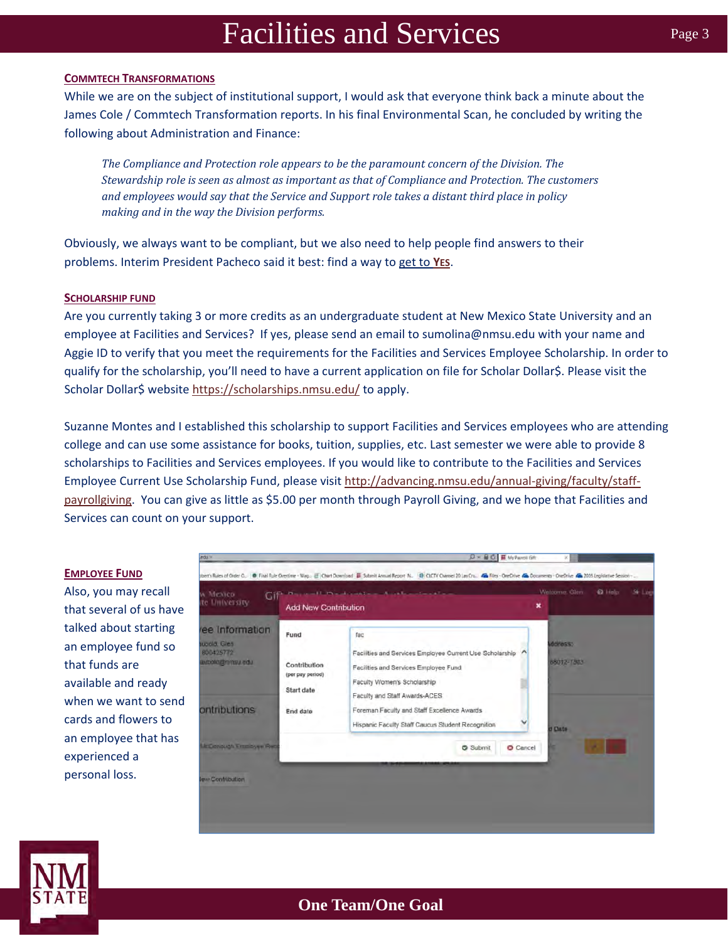### **COMMTECH TRANSFORMATIONS**

While we are on the subject of institutional support, I would ask that everyone think back a minute about the James Cole / Commtech Transformation reports. In his final Environmental Scan, he concluded by writing the following about Administration and Finance:

*The Compliance and Protection role appears to be the paramount concern of the Division. The Stewardship role is seen as almost as important as that of Compliance and Protection. The customers and employees would say that the Service and Support role takes a distant third place in policy making and in the way the Division performs.*

Obviously, we always want to be compliant, but we also need to help people find answers to their problems. Interim President Pacheco said it best: find a way to get to **YES**.

### **SCHOLARSHIP FUND**

Are you currently taking 3 or more credits as an undergraduate student at New Mexico State University and an employee at Facilities and Services? If yes, please send an email to sumolina@nmsu.edu with your name and Aggie ID to verify that you meet the requirements for the Facilities and Services Employee Scholarship. In order to qualify for the scholarship, you'll need to have a current application on file for Scholar Dollar\$. Please visit the Scholar Dollar\$ website https://scholarships.nmsu.edu/ to apply.

Suzanne Montes and I established this scholarship to support Facilities and Services employees who are attending college and can use some assistance for books, tuition, supplies, etc. Last semester we were able to provide 8 scholarships to Facilities and Services employees. If you would like to contribute to the Facilities and Services Employee Current Use Scholarship Fund, please visit http://advancing.nmsu.edu/annual‐giving/faculty/staff‐ payrollgiving. You can give as little as \$5.00 per month through Payroll Giving, and we hope that Facilities and Services can count on your support.

### **EMPLOYEE FUND**

Also, you may recall that several of us have talked about starting an employee fund so that funds are available and ready when we want to send cards and flowers to an employee that has experienced a personal loss.

| и Мехісо<br>te University                                                           | <b>Reparation of President Authorities (Inc.)</b><br>Cif<br><b>Add New Contribution</b> |                                                                                                                                                                                                                                                                              | × | Welcome, Glen.                  | <b>Q</b> Holp | $Sr$ Log |
|-------------------------------------------------------------------------------------|-----------------------------------------------------------------------------------------|------------------------------------------------------------------------------------------------------------------------------------------------------------------------------------------------------------------------------------------------------------------------------|---|---------------------------------|---------------|----------|
| ree Information<br>tupold, Glen-<br>600425772<br>ube unmindulations<br>ontributions | Fund<br>Contribution<br>(per pay period)<br>Start date<br>End date                      | fac<br>Facilities and Services Employee Current Use Scholarship<br>Facilities and Services Employee Fund<br>Faculty Women's Scholarship<br>Faculty and Staff Awards-ACES<br>Foreman Faculty and Staff Excellence Awards<br>Hispanic Faculty Staff Caucus Student Recognition |   | ddress:<br>88012-7303<br>d Date |               |          |
| <b>McConough Employee Rect</b>                                                      |                                                                                         | Submit<br>O Cancel                                                                                                                                                                                                                                                           |   |                                 |               |          |

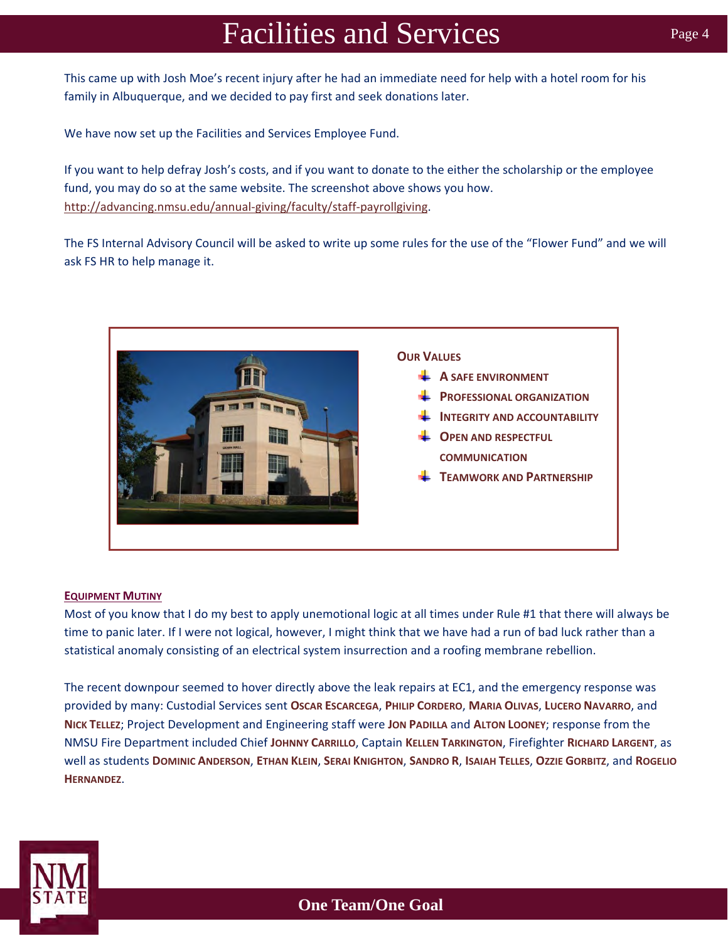This came up with Josh Moe's recent injury after he had an immediate need for help with a hotel room for his family in Albuquerque, and we decided to pay first and seek donations later.

We have now set up the Facilities and Services Employee Fund.

If you want to help defray Josh's costs, and if you want to donate to the either the scholarship or the employee fund, you may do so at the same website. The screenshot above shows you how. http://advancing.nmsu.edu/annual‐giving/faculty/staff‐payrollgiving.

The FS Internal Advisory Council will be asked to write up some rules for the use of the "Flower Fund" and we will ask FS HR to help manage it.



### **EQUIPMENT MUTINY**

Most of you know that I do my best to apply unemotional logic at all times under Rule #1 that there will always be time to panic later. If I were not logical, however, I might think that we have had a run of bad luck rather than a statistical anomaly consisting of an electrical system insurrection and a roofing membrane rebellion.

The recent downpour seemed to hover directly above the leak repairs at EC1, and the emergency response was provided by many: Custodial Services sent **OSCAR ESCARCEGA**, **PHILIP CORDERO**, **MARIA OLIVAS**, **LUCERO NAVARRO**, and **NICK TELLEZ**; Project Development and Engineering staff were **JON PADILLA** and **ALTON LOONEY**; response from the NMSU Fire Department included Chief **JOHNNY CARRILLO**, Captain **KELLEN TARKINGTON**, Firefighter **RICHARD LARGENT**, as well as students **DOMINIC ANDERSON**, **ETHAN KLEIN**, **SERAI KNIGHTON**, **SANDRO R**, **ISAIAH TELLES**, **OZZIE GORBITZ**, and **ROGELIO HERNANDEZ**.

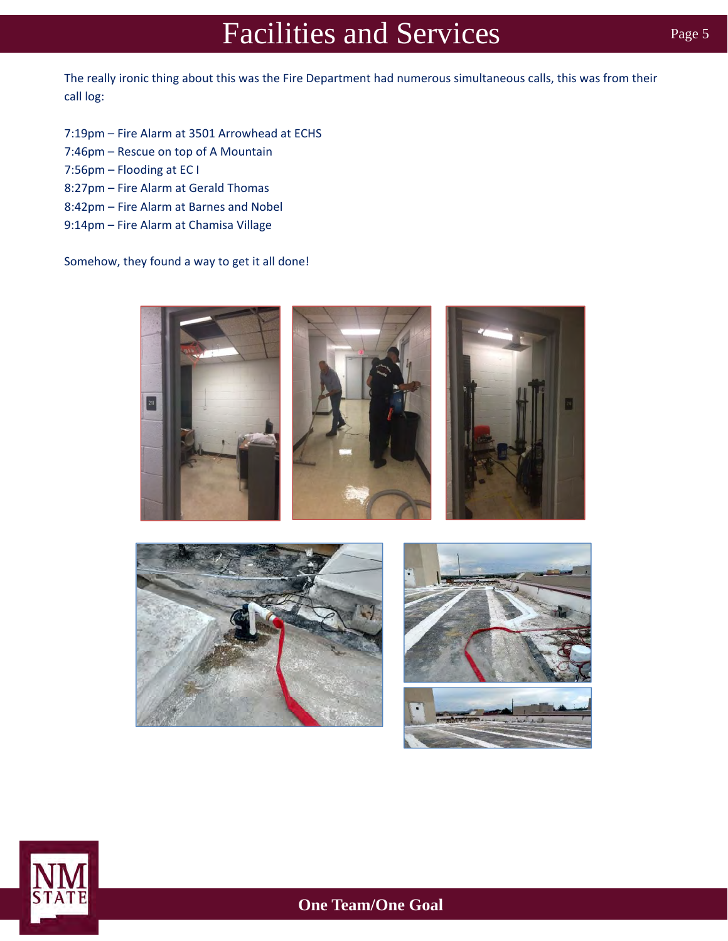The really ironic thing about this was the Fire Department had numerous simultaneous calls, this was from their call log:

- 7:19pm Fire Alarm at 3501 Arrowhead at ECHS
- 7:46pm Rescue on top of A Mountain
- 7:56pm Flooding at EC I

- 8:27pm Fire Alarm at Gerald Thomas
- 8:42pm Fire Alarm at Barnes and Nobel
- 9:14pm Fire Alarm at Chamisa Village

Somehow, they found a way to get it all done!









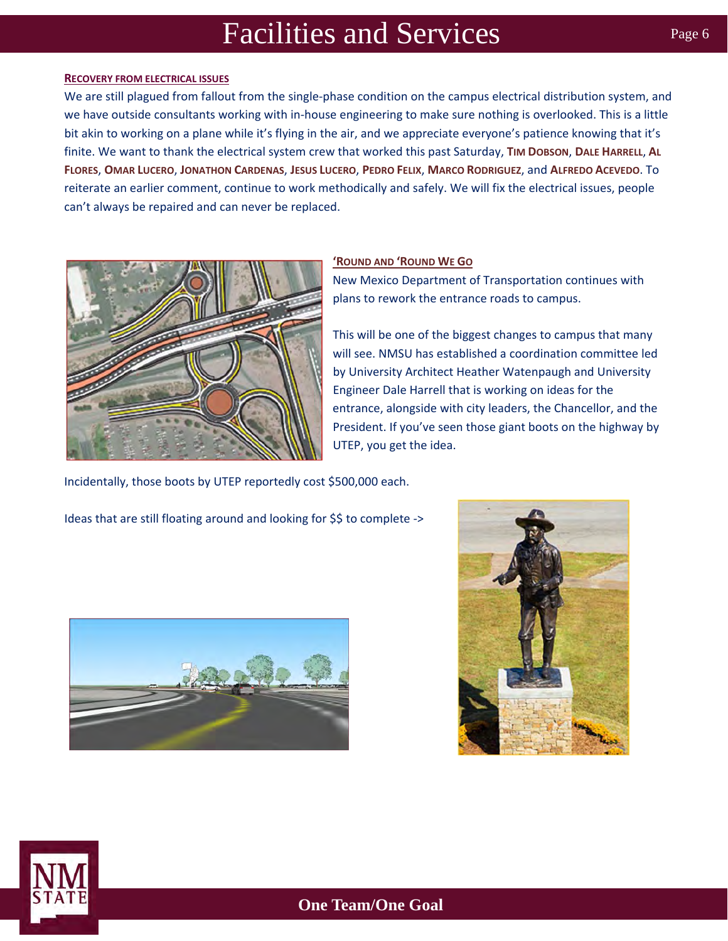#### **RECOVERY FROM ELECTRICAL ISSUES**

We are still plagued from fallout from the single-phase condition on the campus electrical distribution system, and we have outside consultants working with in‐house engineering to make sure nothing is overlooked. This is a little bit akin to working on a plane while it's flying in the air, and we appreciate everyone's patience knowing that it's finite. We want to thank the electrical system crew that worked this past Saturday, **TIM DOBSON**, **DALE HARRELL**, **AL FLORES**, **OMAR LUCERO**, **JONATHON CARDENAS**, **JESUS LUCERO**, **PEDRO FELIX**, **MARCO RODRIGUEZ**, and **ALFREDO ACEVEDO**. To reiterate an earlier comment, continue to work methodically and safely. We will fix the electrical issues, people can't always be repaired and can never be replaced.



### **'ROUND AND 'ROUND WE GO**

New Mexico Department of Transportation continues with plans to rework the entrance roads to campus.

This will be one of the biggest changes to campus that many will see. NMSU has established a coordination committee led by University Architect Heather Watenpaugh and University Engineer Dale Harrell that is working on ideas for the entrance, alongside with city leaders, the Chancellor, and the President. If you've seen those giant boots on the highway by UTEP, you get the idea.

Incidentally, those boots by UTEP reportedly cost \$500,000 each.

Ideas that are still floating around and looking for \$\$ to complete ->





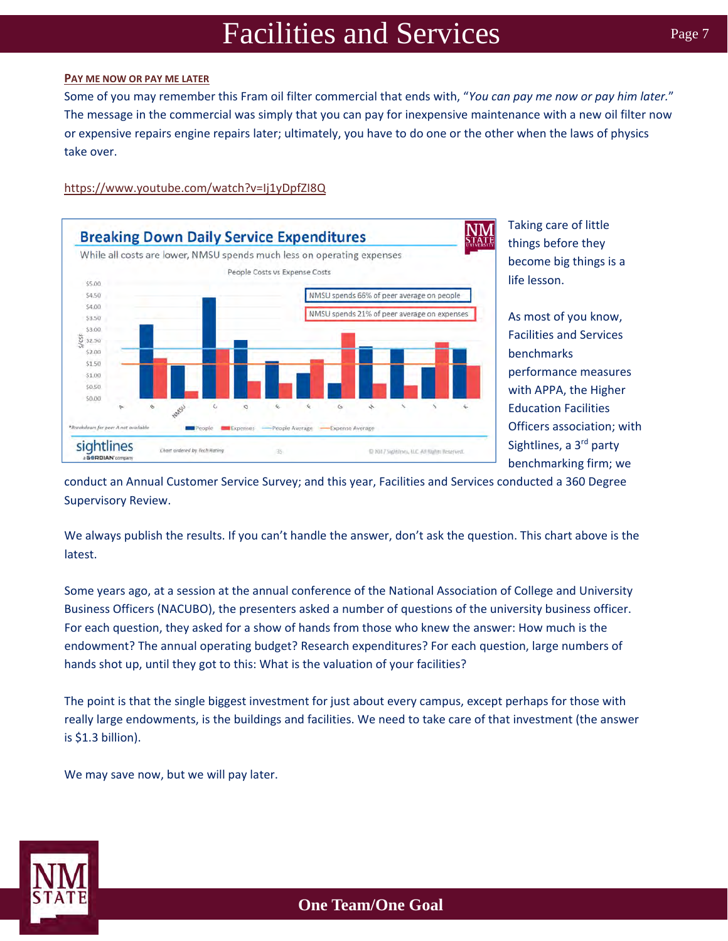### **PAY ME NOW OR PAY ME LATER**

Some of you may remember this Fram oil filter commercial that ends with, "*You can pay me now or pay him later.*" The message in the commercial was simply that you can pay for inexpensive maintenance with a new oil filter now or expensive repairs engine repairs later; ultimately, you have to do one or the other when the laws of physics take over.

### https://www.youtube.com/watch?v=Ij1yDpfZI8Q



Taking care of little things before they become big things is a life lesson.

As most of you know, Facilities and Services benchmarks performance measures with APPA, the Higher Education Facilities Officers association; with Sightlines, a 3<sup>rd</sup> party benchmarking firm; we

conduct an Annual Customer Service Survey; and this year, Facilities and Services conducted a 360 Degree Supervisory Review.

We always publish the results. If you can't handle the answer, don't ask the question. This chart above is the latest.

Some years ago, at a session at the annual conference of the National Association of College and University Business Officers (NACUBO), the presenters asked a number of questions of the university business officer. For each question, they asked for a show of hands from those who knew the answer: How much is the endowment? The annual operating budget? Research expenditures? For each question, large numbers of hands shot up, until they got to this: What is the valuation of your facilities?

The point is that the single biggest investment for just about every campus, except perhaps for those with really large endowments, is the buildings and facilities. We need to take care of that investment (the answer is \$1.3 billion).

We may save now, but we will pay later.